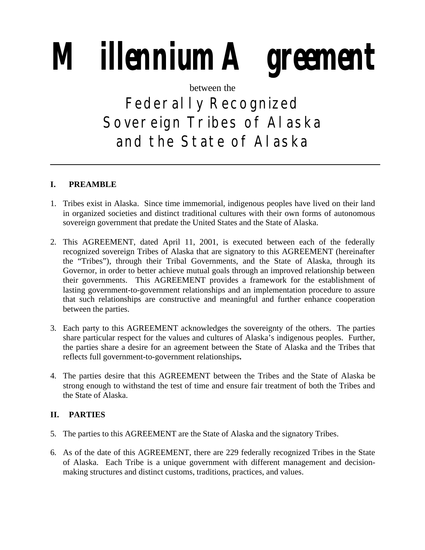# **Millennium Agreement**

# between the

# Federally Recognized Sovereign Tribes of Alaska and the State of Alaska

# **I. PREAMBLE**

- 1. Tribes exist in Alaska. Since time immemorial, indigenous peoples have lived on their land in organized societies and distinct traditional cultures with their own forms of autonomous sovereign government that predate the United States and the State of Alaska.
- 2. This AGREEMENT, dated April 11, 2001, is executed between each of the federally recognized sovereign Tribes of Alaska that are signatory to this AGREEMENT (hereinafter the "Tribes"), through their Tribal Governments, and the State of Alaska, through its Governor, in order to better achieve mutual goals through an improved relationship between their governments. This AGREEMENT provides a framework for the establishment of lasting government-to-government relationships and an implementation procedure to assure that such relationships are constructive and meaningful and further enhance cooperation between the parties.
- 3. Each party to this AGREEMENT acknowledges the sovereignty of the others. The parties share particular respect for the values and cultures of Alaska's indigenous peoples. Further, the parties share a desire for an agreement between the State of Alaska and the Tribes that reflects full government-to-government relationships**.**
- 4. The parties desire that this AGREEMENT between the Tribes and the State of Alaska be strong enough to withstand the test of time and ensure fair treatment of both the Tribes and the State of Alaska.

# **II. PARTIES**

- 5. The parties to this AGREEMENT are the State of Alaska and the signatory Tribes.
- 6. As of the date of this AGREEMENT, there are 229 federally recognized Tribes in the State of Alaska. Each Tribe is a unique government with different management and decisionmaking structures and distinct customs, traditions, practices, and values.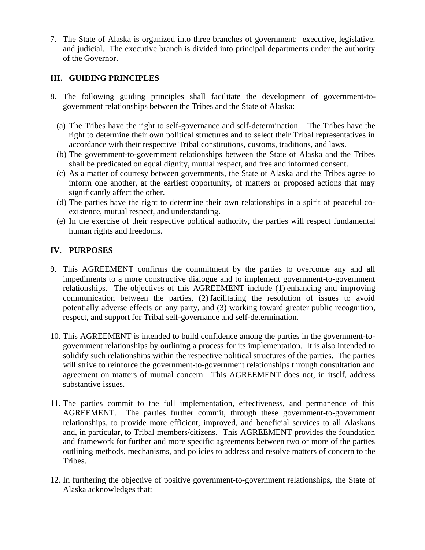7. The State of Alaska is organized into three branches of government: executive, legislative, and judicial. The executive branch is divided into principal departments under the authority of the Governor.

# **III. GUIDING PRINCIPLES**

- 8. The following guiding principles shall facilitate the development of government-togovernment relationships between the Tribes and the State of Alaska:
	- (a) The Tribes have the right to self-governance and self-determination. The Tribes have the right to determine their own political structures and to select their Tribal representatives in accordance with their respective Tribal constitutions, customs, traditions, and laws.
	- (b) The government-to-government relationships between the State of Alaska and the Tribes shall be predicated on equal dignity, mutual respect, and free and informed consent.
	- (c) As a matter of courtesy between governments, the State of Alaska and the Tribes agree to inform one another, at the earliest opportunity, of matters or proposed actions that may significantly affect the other.
	- (d) The parties have the right to determine their own relationships in a spirit of peaceful coexistence, mutual respect, and understanding.
	- (e) In the exercise of their respective political authority, the parties will respect fundamental human rights and freedoms.

# **IV. PURPOSES**

- 9. This AGREEMENT confirms the commitment by the parties to overcome any and all impediments to a more constructive dialogue and to implement government-to-government relationships. The objectives of this AGREEMENT include (1) enhancing and improving communication between the parties, (2) facilitating the resolution of issues to avoid potentially adverse effects on any party, and (3) working toward greater public recognition, respect, and support for Tribal self-governance and self-determination.
- 10. This AGREEMENT is intended to build confidence among the parties in the government-togovernment relationships by outlining a process for its implementation. It is also intended to solidify such relationships within the respective political structures of the parties. The parties will strive to reinforce the government-to-government relationships through consultation and agreement on matters of mutual concern. This AGREEMENT does not, in itself, address substantive issues.
- 11. The parties commit to the full implementation, effectiveness, and permanence of this AGREEMENT. The parties further commit, through these government-to-government relationships, to provide more efficient, improved, and beneficial services to all Alaskans and, in particular, to Tribal members/citizens. This AGREEMENT provides the foundation and framework for further and more specific agreements between two or more of the parties outlining methods, mechanisms, and policies to address and resolve matters of concern to the Tribes.
- 12. In furthering the objective of positive government-to-government relationships, the State of Alaska acknowledges that: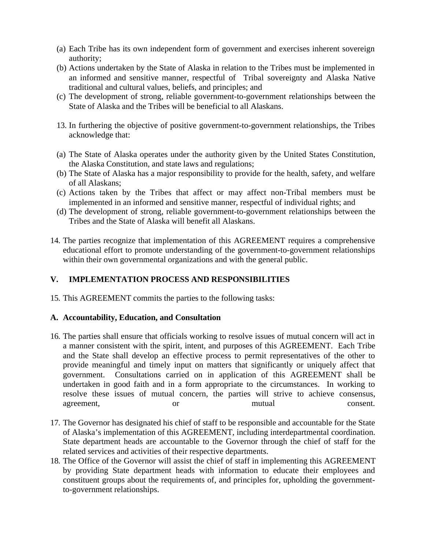- (a) Each Tribe has its own independent form of government and exercises inherent sovereign authority;
- (b) Actions undertaken by the State of Alaska in relation to the Tribes must be implemented in an informed and sensitive manner, respectful of Tribal sovereignty and Alaska Native traditional and cultural values, beliefs, and principles; and
- (c) The development of strong, reliable government-to-government relationships between the State of Alaska and the Tribes will be beneficial to all Alaskans.
- 13. In furthering the objective of positive government-to-government relationships, the Tribes acknowledge that:
- (a) The State of Alaska operates under the authority given by the United States Constitution, the Alaska Constitution, and state laws and regulations;
- (b) The State of Alaska has a major responsibility to provide for the health, safety, and welfare of all Alaskans;
- (c) Actions taken by the Tribes that affect or may affect non-Tribal members must be implemented in an informed and sensitive manner, respectful of individual rights; and
- (d) The development of strong, reliable government-to-government relationships between the Tribes and the State of Alaska will benefit all Alaskans.
- 14. The parties recognize that implementation of this AGREEMENT requires a comprehensive educational effort to promote understanding of the government-to-government relationships within their own governmental organizations and with the general public.

# **V. IMPLEMENTATION PROCESS AND RESPONSIBILITIES**

15. This AGREEMENT commits the parties to the following tasks:

#### **A. Accountability, Education, and Consultation**

- 16. The parties shall ensure that officials working to resolve issues of mutual concern will act in a manner consistent with the spirit, intent, and purposes of this AGREEMENT. Each Tribe and the State shall develop an effective process to permit representatives of the other to provide meaningful and timely input on matters that significantly or uniquely affect that government. Consultations carried on in application of this AGREEMENT shall be undertaken in good faith and in a form appropriate to the circumstances. In working to resolve these issues of mutual concern, the parties will strive to achieve consensus, agreement, or or mutual consent.
- 17. The Governor has designated his chief of staff to be responsible and accountable for the State of Alaska's implementation of this AGREEMENT, including interdepartmental coordination. State department heads are accountable to the Governor through the chief of staff for the related services and activities of their respective departments.
- 18. The Office of the Governor will assist the chief of staff in implementing this AGREEMENT by providing State department heads with information to educate their employees and constituent groups about the requirements of, and principles for, upholding the governmentto-government relationships.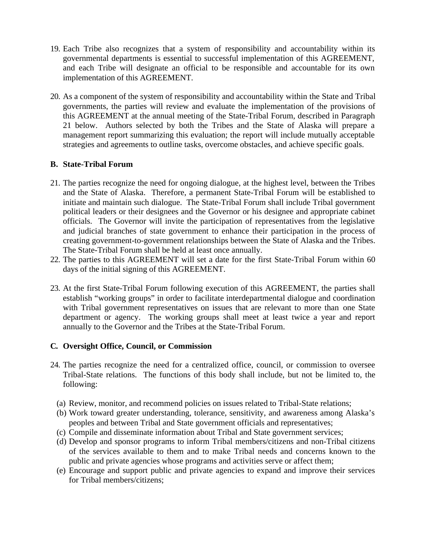- 19. Each Tribe also recognizes that a system of responsibility and accountability within its governmental departments is essential to successful implementation of this AGREEMENT, and each Tribe will designate an official to be responsible and accountable for its own implementation of this AGREEMENT.
- 20. As a component of the system of responsibility and accountability within the State and Tribal governments, the parties will review and evaluate the implementation of the provisions of this AGREEMENT at the annual meeting of the State-Tribal Forum, described in Paragraph 21 below. Authors selected by both the Tribes and the State of Alaska will prepare a management report summarizing this evaluation; the report will include mutually acceptable strategies and agreements to outline tasks, overcome obstacles, and achieve specific goals.

#### **B. State-Tribal Forum**

- 21. The parties recognize the need for ongoing dialogue, at the highest level, between the Tribes and the State of Alaska. Therefore, a permanent State-Tribal Forum will be established to initiate and maintain such dialogue. The State-Tribal Forum shall include Tribal government political leaders or their designees and the Governor or his designee and appropriate cabinet officials. The Governor will invite the participation of representatives from the legislative and judicial branches of state government to enhance their participation in the process of creating government-to-government relationships between the State of Alaska and the Tribes. The State-Tribal Forum shall be held at least once annually.
- 22. The parties to this AGREEMENT will set a date for the first State-Tribal Forum within 60 days of the initial signing of this AGREEMENT.
- 23. At the first State-Tribal Forum following execution of this AGREEMENT, the parties shall establish "working groups" in order to facilitate interdepartmental dialogue and coordination with Tribal government representatives on issues that are relevant to more than one State department or agency. The working groups shall meet at least twice a year and report annually to the Governor and the Tribes at the State-Tribal Forum.

#### **C. Oversight Office, Council, or Commission**

- 24. The parties recognize the need for a centralized office, council, or commission to oversee Tribal-State relations. The functions of this body shall include, but not be limited to, the following:
	- (a) Review, monitor, and recommend policies on issues related to Tribal-State relations;
	- (b) Work toward greater understanding, tolerance, sensitivity, and awareness among Alaska's peoples and between Tribal and State government officials and representatives;
	- (c) Compile and disseminate information about Tribal and State government services;
	- (d) Develop and sponsor programs to inform Tribal members/citizens and non-Tribal citizens of the services available to them and to make Tribal needs and concerns known to the public and private agencies whose programs and activities serve or affect them;
	- (e) Encourage and support public and private agencies to expand and improve their services for Tribal members/citizens;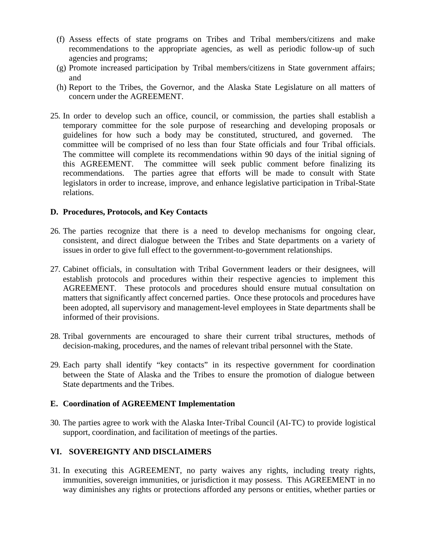- (f) Assess effects of state programs on Tribes and Tribal members/citizens and make recommendations to the appropriate agencies, as well as periodic follow-up of such agencies and programs;
- (g) Promote increased participation by Tribal members/citizens in State government affairs; and
- (h) Report to the Tribes, the Governor, and the Alaska State Legislature on all matters of concern under the AGREEMENT.
- 25. In order to develop such an office, council, or commission, the parties shall establish a temporary committee for the sole purpose of researching and developing proposals or guidelines for how such a body may be constituted, structured, and governed. The committee will be comprised of no less than four State officials and four Tribal officials. The committee will complete its recommendations within 90 days of the initial signing of this AGREEMENT. The committee will seek public comment before finalizing its recommendations. The parties agree that efforts will be made to consult with State legislators in order to increase, improve, and enhance legislative participation in Tribal-State relations.

#### **D. Procedures, Protocols, and Key Contacts**

- 26. The parties recognize that there is a need to develop mechanisms for ongoing clear, consistent, and direct dialogue between the Tribes and State departments on a variety of issues in order to give full effect to the government-to-government relationships.
- 27. Cabinet officials, in consultation with Tribal Government leaders or their designees, will establish protocols and procedures within their respective agencies to implement this AGREEMENT. These protocols and procedures should ensure mutual consultation on matters that significantly affect concerned parties. Once these protocols and procedures have been adopted, all supervisory and management-level employees in State departments shall be informed of their provisions.
- 28. Tribal governments are encouraged to share their current tribal structures, methods of decision-making, procedures, and the names of relevant tribal personnel with the State.
- 29. Each party shall identify "key contacts" in its respective government for coordination between the State of Alaska and the Tribes to ensure the promotion of dialogue between State departments and the Tribes.

#### **E. Coordination of AGREEMENT Implementation**

30. The parties agree to work with the Alaska Inter-Tribal Council (AI-TC) to provide logistical support, coordination, and facilitation of meetings of the parties.

# **VI. SOVEREIGNTY AND DISCLAIMERS**

31. In executing this AGREEMENT, no party waives any rights, including treaty rights, immunities, sovereign immunities, or jurisdiction it may possess. This AGREEMENT in no way diminishes any rights or protections afforded any persons or entities, whether parties or